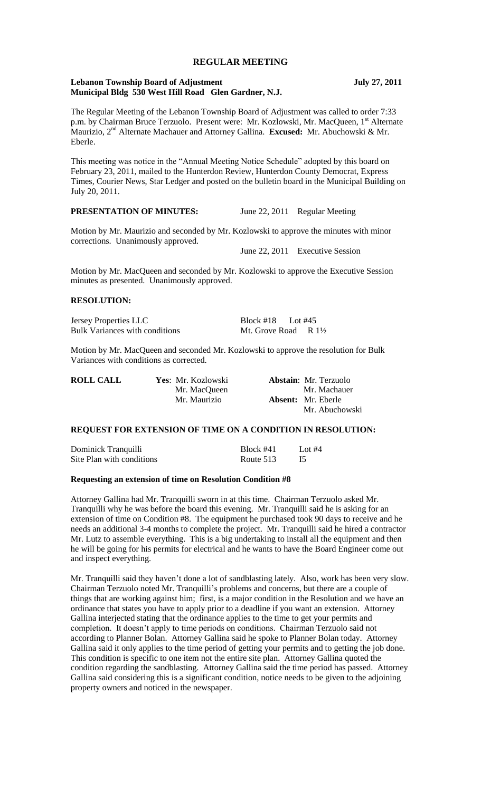# **REGULAR MEETING**

### **Lebanon Township Board of Adjustment July 27, 2011 Municipal Bldg 530 West Hill Road Glen Gardner, N.J.**

The Regular Meeting of the Lebanon Township Board of Adjustment was called to order 7:33 p.m. by Chairman Bruce Terzuolo. Present were: Mr. Kozlowski, Mr. MacQueen, 1<sup>st</sup> Alternate Maurizio, 2nd Alternate Machauer and Attorney Gallina. **Excused:** Mr. Abuchowski & Mr. Eberle.

This meeting was notice in the "Annual Meeting Notice Schedule" adopted by this board on February 23, 2011, mailed to the Hunterdon Review, Hunterdon County Democrat, Express Times, Courier News, Star Ledger and posted on the bulletin board in the Municipal Building on July 20, 2011.

**PRESENTATION OF MINUTES:** June 22, 2011 Regular Meeting

Motion by Mr. Maurizio and seconded by Mr. Kozlowski to approve the minutes with minor corrections. Unanimously approved.

June 22, 2011 Executive Session

Motion by Mr. MacQueen and seconded by Mr. Kozlowski to approve the Executive Session minutes as presented. Unanimously approved.

#### **RESOLUTION:**

Jersey Properties LLC Block #18 Lot #45 Bulk Variances with conditions Mt. Grove Road R  $1\frac{1}{2}$ 

Motion by Mr. MacQueen and seconded Mr. Kozlowski to approve the resolution for Bulk Variances with conditions as corrected.

| <b>ROLL CALL</b> | Yes: Mr. Kozlowski | <b>Abstain:</b> Mr. Terzuolo |
|------------------|--------------------|------------------------------|
|                  | Mr. MacQueen       | Mr. Machauer                 |
|                  | Mr. Maurizio       | <b>Absent:</b> Mr. Eberle    |
|                  |                    | Mr. Abuchowski               |

### **REQUEST FOR EXTENSION OF TIME ON A CONDITION IN RESOLUTION:**

| Dominick Tranquilli       | Block #41 | Lot $#4$ |
|---------------------------|-----------|----------|
| Site Plan with conditions | Route 513 |          |

#### **Requesting an extension of time on Resolution Condition #8**

Attorney Gallina had Mr. Tranquilli sworn in at this time. Chairman Terzuolo asked Mr. Tranquilli why he was before the board this evening. Mr. Tranquilli said he is asking for an extension of time on Condition #8. The equipment he purchased took 90 days to receive and he needs an additional 3-4 months to complete the project. Mr. Tranquilli said he hired a contractor Mr. Lutz to assemble everything. This is a big undertaking to install all the equipment and then he will be going for his permits for electrical and he wants to have the Board Engineer come out and inspect everything.

Mr. Tranquilli said they haven't done a lot of sandblasting lately. Also, work has been very slow. Chairman Terzuolo noted Mr. Tranquilli's problems and concerns, but there are a couple of things that are working against him; first, is a major condition in the Resolution and we have an ordinance that states you have to apply prior to a deadline if you want an extension. Attorney Gallina interjected stating that the ordinance applies to the time to get your permits and completion. It doesn't apply to time periods on conditions. Chairman Terzuolo said not according to Planner Bolan. Attorney Gallina said he spoke to Planner Bolan today. Attorney Gallina said it only applies to the time period of getting your permits and to getting the job done. This condition is specific to one item not the entire site plan. Attorney Gallina quoted the condition regarding the sandblasting. Attorney Gallina said the time period has passed. Attorney Gallina said considering this is a significant condition, notice needs to be given to the adjoining property owners and noticed in the newspaper.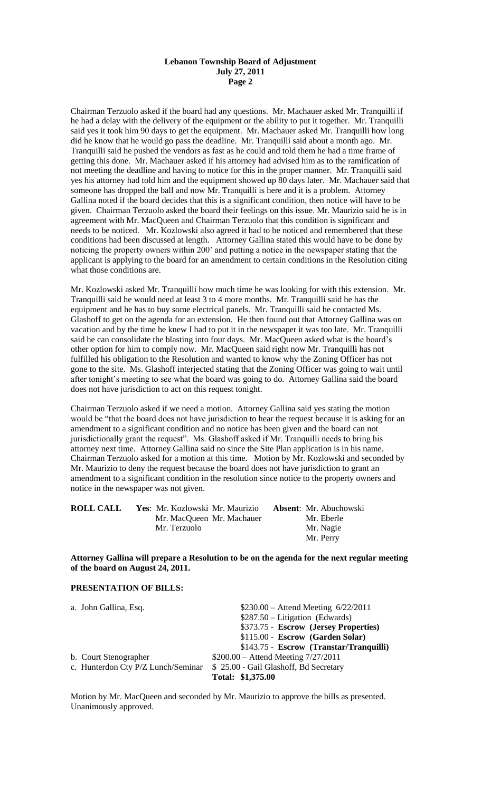#### **Lebanon Township Board of Adjustment July 27, 2011 Page 2**

Chairman Terzuolo asked if the board had any questions. Mr. Machauer asked Mr. Tranquilli if he had a delay with the delivery of the equipment or the ability to put it together. Mr. Tranquilli said yes it took him 90 days to get the equipment. Mr. Machauer asked Mr. Tranquilli how long did he know that he would go pass the deadline. Mr. Tranquilli said about a month ago. Mr. Tranquilli said he pushed the vendors as fast as he could and told them he had a time frame of getting this done. Mr. Machauer asked if his attorney had advised him as to the ramification of not meeting the deadline and having to notice for this in the proper manner. Mr. Tranquilli said yes his attorney had told him and the equipment showed up 80 days later. Mr. Machauer said that someone has dropped the ball and now Mr. Tranquilli is here and it is a problem. Attorney Gallina noted if the board decides that this is a significant condition, then notice will have to be given. Chairman Terzuolo asked the board their feelings on this issue. Mr. Maurizio said he is in agreement with Mr. MacQueen and Chairman Terzuolo that this condition is significant and needs to be noticed. Mr. Kozlowski also agreed it had to be noticed and remembered that these conditions had been discussed at length. Attorney Gallina stated this would have to be done by noticing the property owners within 200' and putting a notice in the newspaper stating that the applicant is applying to the board for an amendment to certain conditions in the Resolution citing what those conditions are.

Mr. Kozlowski asked Mr. Tranquilli how much time he was looking for with this extension. Mr. Tranquilli said he would need at least 3 to 4 more months. Mr. Tranquilli said he has the equipment and he has to buy some electrical panels. Mr. Tranquilli said he contacted Ms. Glashoff to get on the agenda for an extension. He then found out that Attorney Gallina was on vacation and by the time he knew I had to put it in the newspaper it was too late. Mr. Tranquilli said he can consolidate the blasting into four days. Mr. MacQueen asked what is the board's other option for him to comply now. Mr. MacQueen said right now Mr. Tranquilli has not fulfilled his obligation to the Resolution and wanted to know why the Zoning Officer has not gone to the site. Ms. Glashoff interjected stating that the Zoning Officer was going to wait until after tonight's meeting to see what the board was going to do. Attorney Gallina said the board does not have jurisdiction to act on this request tonight.

Chairman Terzuolo asked if we need a motion. Attorney Gallina said yes stating the motion would be "that the board does not have jurisdiction to hear the request because it is asking for an amendment to a significant condition and no notice has been given and the board can not jurisdictionally grant the request". Ms. Glashoff asked if Mr. Tranquilli needs to bring his attorney next time. Attorney Gallina said no since the Site Plan application is in his name. Chairman Terzuolo asked for a motion at this time. Motion by Mr. Kozlowski and seconded by Mr. Maurizio to deny the request because the board does not have jurisdiction to grant an amendment to a significant condition in the resolution since notice to the property owners and notice in the newspaper was not given.

| <b>ROLL CALL</b> | Yes: Mr. Kozlowski Mr. Maurizio | <b>Absent:</b> Mr. Abuchowski |
|------------------|---------------------------------|-------------------------------|
|                  | Mr. MacQueen Mr. Machauer       | Mr. Eberle                    |
|                  | Mr. Terzuolo                    | Mr. Nagie                     |
|                  |                                 | Mr. Perry                     |

**Attorney Gallina will prepare a Resolution to be on the agenda for the next regular meeting of the board on August 24, 2011.**

### **PRESENTATION OF BILLS:**

| a. John Gallina, Esq.              | $$230.00 -$ Attend Meeting $6/22/2011$  |
|------------------------------------|-----------------------------------------|
|                                    | $$287.50 - Litigation$ (Edwards)        |
|                                    | \$373.75 - Escrow (Jersey Properties)   |
|                                    | \$115.00 - Escrow (Garden Solar)        |
|                                    | \$143.75 - Escrow (Transtar/Tranquilli) |
| b. Court Stenographer              | $$200.00 -$ Attend Meeting $7/27/2011$  |
| c. Hunterdon Cty P/Z Lunch/Seminar | \$ 25.00 - Gail Glashoff, Bd Secretary  |
|                                    | Total: \$1,375.00                       |

Motion by Mr. MacQueen and seconded by Mr. Maurizio to approve the bills as presented. Unanimously approved.